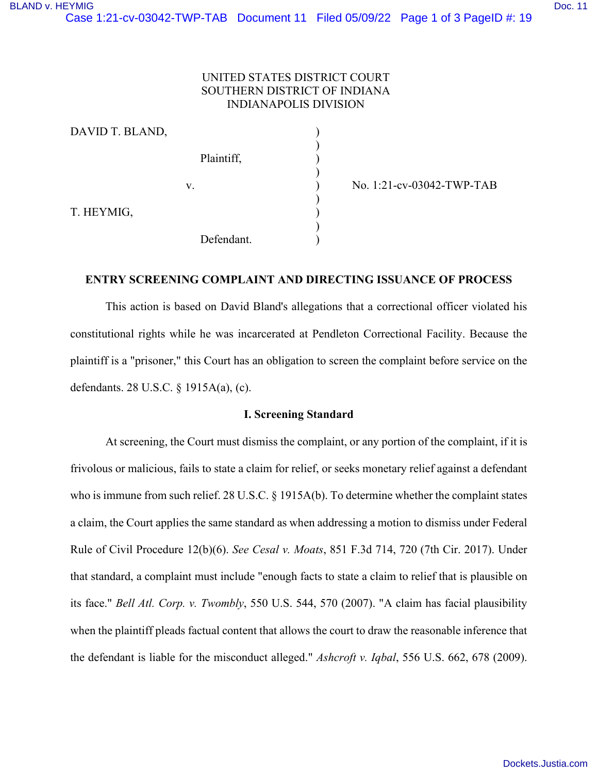# UNITED STATES DISTRICT COURT SOUTHERN DISTRICT OF INDIANA INDIANAPOLIS DIVISION

| DAVID T. BLAND, |            |  |
|-----------------|------------|--|
|                 | Plaintiff, |  |
|                 | V.         |  |
| T. HEYMIG,      |            |  |
|                 | Defendant. |  |

) No. 1:21-cv-03042-TWP-TAB

# **ENTRY SCREENING COMPLAINT AND DIRECTING ISSUANCE OF PROCESS**

This action is based on David Bland's allegations that a correctional officer violated his constitutional rights while he was incarcerated at Pendleton Correctional Facility. Because the plaintiff is a "prisoner," this Court has an obligation to screen the complaint before service on the defendants. 28 U.S.C. § 1915A(a), (c).

## **I. Screening Standard**

At screening, the Court must dismiss the complaint, or any portion of the complaint, if it is frivolous or malicious, fails to state a claim for relief, or seeks monetary relief against a defendant who is immune from such relief. 28 U.S.C. § 1915A(b). To determine whether the complaint states a claim, the Court applies the same standard as when addressing a motion to dismiss under Federal Rule of Civil Procedure 12(b)(6). *See Cesal v. Moats*, 851 F.3d 714, 720 (7th Cir. 2017). Under that standard, a complaint must include "enough facts to state a claim to relief that is plausible on its face." *Bell Atl. Corp. v. Twombly*, 550 U.S. 544, 570 (2007). "A claim has facial plausibility when the plaintiff pleads factual content that allows the court to draw the reasonable inference that the defendant is liable for the misconduct alleged." *Ashcroft v. Iqbal*, 556 U.S. 662, 678 (2009).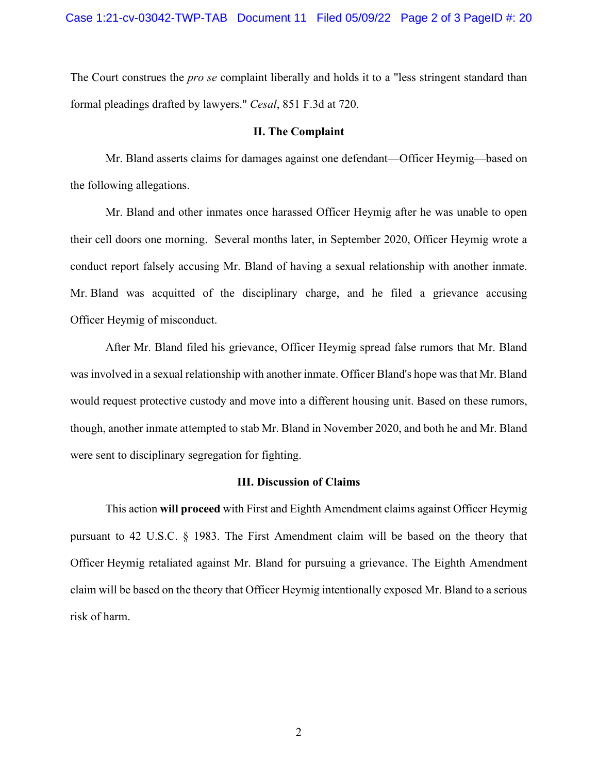The Court construes the *pro se* complaint liberally and holds it to a "less stringent standard than formal pleadings drafted by lawyers." *Cesal*, 851 F.3d at 720.

#### **II. The Complaint**

Mr. Bland asserts claims for damages against one defendant—Officer Heymig—based on the following allegations.

Mr. Bland and other inmates once harassed Officer Heymig after he was unable to open their cell doors one morning. Several months later, in September 2020, Officer Heymig wrote a conduct report falsely accusing Mr. Bland of having a sexual relationship with another inmate. Mr. Bland was acquitted of the disciplinary charge, and he filed a grievance accusing Officer Heymig of misconduct.

After Mr. Bland filed his grievance, Officer Heymig spread false rumors that Mr. Bland was involved in a sexual relationship with another inmate. Officer Bland's hope was that Mr. Bland would request protective custody and move into a different housing unit. Based on these rumors, though, another inmate attempted to stab Mr. Bland in November 2020, and both he and Mr. Bland were sent to disciplinary segregation for fighting.

### **III. Discussion of Claims**

This action **will proceed** with First and Eighth Amendment claims against Officer Heymig pursuant to 42 U.S.C. § 1983. The First Amendment claim will be based on the theory that Officer Heymig retaliated against Mr. Bland for pursuing a grievance. The Eighth Amendment claim will be based on the theory that Officer Heymig intentionally exposed Mr. Bland to a serious risk of harm.